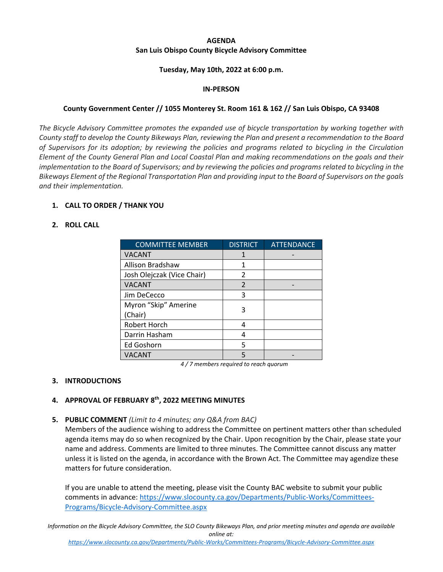# **AGENDA San Luis Obispo County Bicycle Advisory Committee**

### **Tuesday, May 10th, 2022 at 6:00 p.m.**

### **IN‐PERSON**

## **County Government Center // 1055 Monterey St. Room 161 & 162 // San Luis Obispo, CA 93408**

*The Bicycle Advisory Committee promotes the expanded use of bicycle transportation by working together with* County staff to develop the County Bikeways Plan, reviewing the Plan and present a recommendation to the Board of Supervisors for its adoption; by reviewing the policies and programs related to bicycling in the Circulation Element of the County General Plan and Local Coastal Plan and making recommendations on the goals and their implementation to the Board of Supervisors; and by reviewing the policies and programs related to bicycling in the Bikeways Element of the Regional Transportation Plan and providing input to the Board of Supervisors on the goals *and their implementation.*

### **1. CALL TO ORDER / THANK YOU**

### **2. ROLL CALL**

| <b>COMMITTEE MEMBER</b>    | <b>DISTRICT</b> | <b>ATTENDANCE</b> |
|----------------------------|-----------------|-------------------|
| <b>VACANT</b>              |                 |                   |
| Allison Bradshaw           |                 |                   |
| Josh Olejczak (Vice Chair) | $\mathfrak z$   |                   |
| <b>VACANT</b>              | $\mathfrak{D}$  |                   |
| Jim DeCecco                | ς               |                   |
| Myron "Skip" Amerine       | 3               |                   |
| (Chair)                    |                 |                   |
| Robert Horch               | Δ               |                   |
| Darrin Hasham              | Δ               |                   |
| Ed Goshorn                 | 5               |                   |
| <b>VACANT</b>              |                 |                   |

*4 / 7 members required to reach quorum*

### **3. INTRODUCTIONS**

# **4. APPROVAL OF FEBRUARY 8th, 2022 MEETING MINUTES**

### **5. PUBLIC COMMENT** *(Limit to 4 minutes; any Q&A from BAC)*

Members of the audience wishing to address the Committee on pertinent matters other than scheduled agenda items may do so when recognized by the Chair. Upon recognition by the Chair, please state your name and address. Comments are limited to three minutes. The Committee cannot discuss any matter unless it is listed on the agenda, in accordance with the Brown Act. The Committee may agendize these matters for future consideration.

If you are unable to attend the meeting, please visit the County BAC website to submit your public comments in advance: https://www.slocounty.ca.gov/Departments/Public‐Works/Committees‐ Programs/Bicycle‐Advisory‐Committee.aspx

Information on the Bicycle Advisory Committee, the SLO County Bikeways Plan, and prior meeting minutes and agenda are available *online at:*